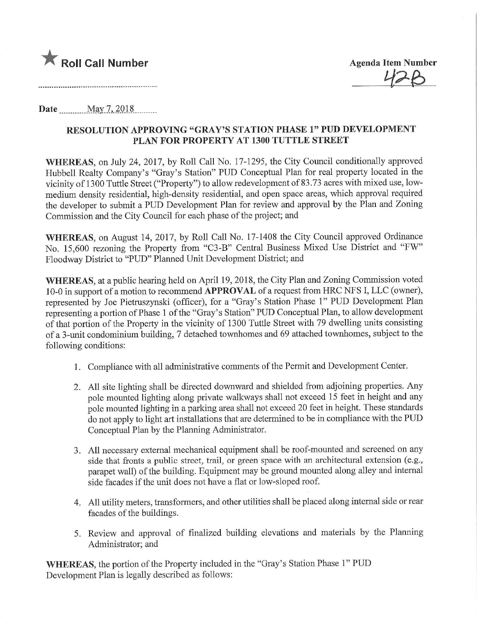

 $128$ 

Date.........^May.7,201.8.

## RESOLUTION APPROVING "GRAY'S STATION PHASE 1" PUD DEVELOPMENT PLAN FOR PROPERTY AT 1300 TUTTLE STREET

WHEREAS, on July 24, 2017, by Roll Call No. 17-1295, the City Council conditionally approved Hubbell Realty Company's "Gray's Station" PUD Conceptual Plan for real property located in the vicinity of 1300 Tuttle Street ("Property") to allow redevelopment of 83.73 acres with mixed use, lowmedium density residential, high-density residential, and open space areas, which approval required the developer to submit a PUD Development Plan for review and approval by the Plan and Zoning Commission and the City Council for each phase of the project; and

WHEREAS, on August 14, 2017, by Roll Call No. 17-1408 the City Council approved Ordinance No. 15,600 rezoning the Property from "C3-B" Central Business Mixed Use District and "FW" Floodway District to "PUD" Planned Unit Development District; and

WHEREAS, at a public hearing held on April 19, 2018, the City Plan and Zoning Commission voted 10-0 in support of a motion to recommend APPROVAL of a request from HRC NFS I, LLC (owner), represented by Joe Pietmszynski (officer), for a "Gray's Station Phase 1" PUD Development Plan representing a portion of Phase 1 of the "Gray's Station" PUD Conceptual Plan, to allow development of that portion of the Property in the vicinity of 1300 Tuttle Street with 79 dwelling units consisting of a 3-unit condominium building, 7 detached townhomes and 69 attached townhomes, subject to the following conditions:

- 1. Compliance with all administrative comments of the Permit and Development Center.
- 2. All site lighting shall be directed downward and shielded from adjoining properties. Any pole mounted lighting along private walkways shall not exceed 15 feet in height and any pole mounted lighting in a parking area shall not exceed 20 feet in height. These standards do not apply to light art installations that are determined to be in compliance with the PUD Conceptual Plan by the Planning Administrator.
- 3. All necessary external mechanical equipment shall be roof-mounted and screened on any side that fronts a public street, trail, or green space with an architectural extension (e.g., parapet wall) of the building. Equipment may be ground mounted along alley and internal side facades if the unit does not have a flat or low-sloped roof.
- 4. All utility meters, transformers, and other utilities shall be placed along internal side or rear facades of the buildings.
- 5. Review and approval of finalized building elevations and materials by the Planning Administrator; and

WHEREAS, the portion of the Property included in the "Gray's Station Phase 1" PUD Development Plan is legally described as follows: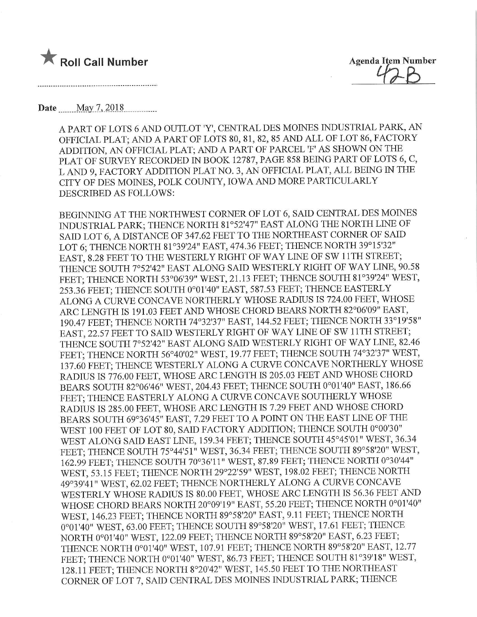

 $R$ genda Hem Number  $\mathcal{U}_{\mathcal{A}}$  $\beta$ 

Date <u>May 7, 2018</u>

A PART OF LOTS 6 AND OUTLOT 'Y', CENTRAL DES MOINES INDUSTRIAL PARK, AN OFFICIAL PLAT; AND A PART OF LOTS 80, 81, 82, 85 AND ALL OF LOT 86, FACTORY ADDITION, AN OFFICIAL PLAT; AND A PART OF PARCEL 'F' AS SHOWN ON THE PLAT OF SURVEY RECORDED IN BOOK 12787, PAGE 858 BEING PART OF LOTS 6, C, L AND 9, FACTORY ADDITION PLAT NO. 3, AN OFFICIAL PLAT, ALL BEING IN THE CITY OF DES MOINES, POLK COUNTY, IOWA AND MORE PARTICULARLY DESCRIBED AS FOLLOWS:

BEGINNING AT THE NORTHWEST CORNER OF LOT 6, SAID CENTRAL DES MOINES INDUSTRIAL PARK; THENCE NORTH 81°52'47" EAST ALONG THE NORTH LINE OF SAID LOT 6, A DISTANCE OF 347.62 FEET TO THE NORTHEAST CORNER OF SAID LOT 6; THENCE NORTH 81°39'24" EAST, 474.36 FEET; THENCE NORTH 39°15'32" EAST, 8.28 FEET TO THE WESTERLY RIGHT OF WAY LINE OF SW 11TH STREET; THENCE SOUTH 7°52'42" EAST ALONG SAID WESTERLY RIGHT OF WAY LINE, 90.58 FEET; THENCE NORTH 53°06'39" WEST, 21.13 FEET; THENCE SOUTH 81°39'24" WEST, 253.36 FEET; THENCE SOUTH 0°01'40" EAST, 587.53 FEET; THENCE EASTERLY ALONG A CURVE CONCAVE NORTHERLY WHOSE RADIUS IS 724.00 FEET, WHOSE ARC LENGTH IS 191.03 FEET AND WHOSE CHORD BEARS NORTH 82°06'09" EAST, 190.47 FEET; THENCE NORTH 74°32'37" EAST, 144.52 FEET; THENCE NORTH 33°19'58" EAST, 22.57 FEET TO SAID WESTERLY RIGHT OF WAY LINE OF SW 11TH STREET; THENCE SOUTH 7°52'42" EAST ALONG SAID WESTERLY RIGHT OF WAY LINE, 82.46 FEET; THENCE NORTH 56°40'02" WEST, 19.77 FEET; THENCE SOUTH 74°32'37" WEST, 137.60 FEET; THENCE WESTERLY ALONG A CURVE CONCAVE NORTHERLY WHOSE RADIUS IS 776.00 FEET, WHOSE ARC LENGTH IS 205.03 FEET AND WHOSE CHORD BEARS SOUTH 82°06'46" WEST, 204.43 FEET; THENCE SOUTH 0°01'40" EAST, 186.66 FEET; THENCE EASTERLY ALONG A CURVE CONCAVE SOUTHERLY WHOSE RADIUS IS 285.00 FEET, WHOSE ARC LENGTH IS 7.29 FEET AND WHOSE CHORD BEARS SOUTH 69°36'45" EAST, 7.29 FEET TO A POINT ON THE EAST LINE OF THE WEST 100 FEET OF LOT 80, SAID FACTORY ADDITION; THENCE SOUTH 0°00'30" WEST ALONG SAID EAST UNE, 159.34 FEET; THENCE SOUTH 45°45'01" WEST, 36.34 FEET; THENCE SOUTH 75°44'51" WEST, 36.34 FEET; TMENCE SOUTH 89°58'20" WEST, 162.99 FEET; THENCE SOUTH 70°36'U" WEST, 87.89 FEET; THENCE NORTH 0°30'44" WEST, 53.15 FEET; THENCE NORTH 29°22'59" WEST, 198.02 FEET; THENCE NORTH 49°39'41" WEST, 62.02 FEET; THENCE NORTHERLY ALONG A CURVE CONCAVE WESTERLY WHOSE RADIUS IS 80.00 FEET, WHOSE ARC LENGTH IS 56.36 FEET AND WHOSE CHORD BEARS NORTH 20°09'19" EAST, 55.20 FEET; THENCE NORTH 0°01'40" WEST, 146.23 FEET; THENCE NORTH 89°58'20" EAST, 9.11 FEET; THENCE NORTH 0°01'40" WEST, 63.00 FEET; THENCE SOUTH 89°58'20" WEST, 17.61 FEET; THENCE NORTH 0°01'40" WEST, 122.09 FEET; THENCE NORTH 89°58'20" EAST, 6.23 FEET; THENCE NORTH 0°01'40" WEST, 107.91 FEET; THENCE NORTH 89°58'20" EAST, 12.77 FEET; THENCE NORTH 0°01'40" WEST, 86.73 FEET; THENCE SOUTH 81°39'18" WEST, 128.11 FEET; THENCE NORTH 8°20'42" WEST, 145.50 FEET TO THE NORTHEAST CORNER OF LOT 7, SAID CENTRAL DES MOmES INDUSTRIAL PARK; THENCE